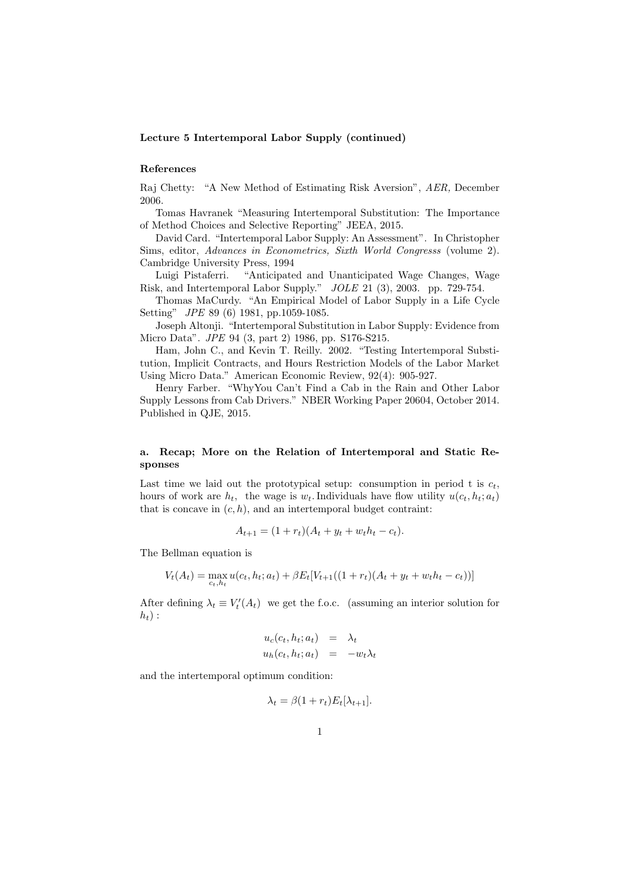### Lecture 5 Intertemporal Labor Supply (continued)

### References

Raj Chetty: "A New Method of Estimating Risk Aversion", AER, December 2006.

Tomas Havranek "Measuring Intertemporal Substitution: The Importance of Method Choices and Selective Reporting" JEEA, 2015.

David Card. "Intertemporal Labor Supply: An Assessment". In Christopher Sims, editor, Advances in Econometrics, Sixth World Congresss (volume 2). Cambridge University Press, 1994

Luigi Pistaferri. "Anticipated and Unanticipated Wage Changes, Wage Risk, and Intertemporal Labor Supply." JOLE 21 (3), 2003. pp. 729-754.

Thomas MaCurdy. "An Empirical Model of Labor Supply in a Life Cycle Setting" JPE 89 (6) 1981, pp.1059-1085.

Joseph Altonji. "Intertemporal Substitution in Labor Supply: Evidence from Micro Data". JPE 94 (3, part 2) 1986, pp. S176-S215.

Ham, John C., and Kevin T. Reilly. 2002. "Testing Intertemporal Substitution, Implicit Contracts, and Hours Restriction Models of the Labor Market Using Micro Data." American Economic Review, 92(4): 905-927.

Henry Farber. "WhyYou Can't Find a Cab in the Rain and Other Labor Supply Lessons from Cab Drivers." NBER Working Paper 20604, October 2014. Published in QJE, 2015.

## a. Recap; More on the Relation of Intertemporal and Static Responses

Last time we laid out the prototypical setup: consumption in period t is  $c_t$ , hours of work are  $h_t$ , the wage is  $w_t$ . Individuals have flow utility  $u(c_t, h_t; a_t)$ that is concave in  $(c, h)$ , and an intertemporal budget contraint:

$$
A_{t+1} = (1 + r_t)(A_t + y_t + w_t h_t - c_t).
$$

The Bellman equation is

$$
V_t(A_t) = \max_{c_t, h_t} u(c_t, h_t; a_t) + \beta E_t[V_{t+1}((1+r_t)(A_t + y_t + w_t h_t - c_t))]
$$

After defining  $\lambda_t \equiv V'_t(A_t)$  we get the f.o.c. (assuming an interior solution for  $h_t$ ) :

$$
u_c(c_t, h_t; a_t) = \lambda_t
$$
  

$$
u_h(c_t, h_t; a_t) = -w_t \lambda_t
$$

and the intertemporal optimum condition:

$$
\lambda_t = \beta(1 + r_t)E_t[\lambda_{t+1}].
$$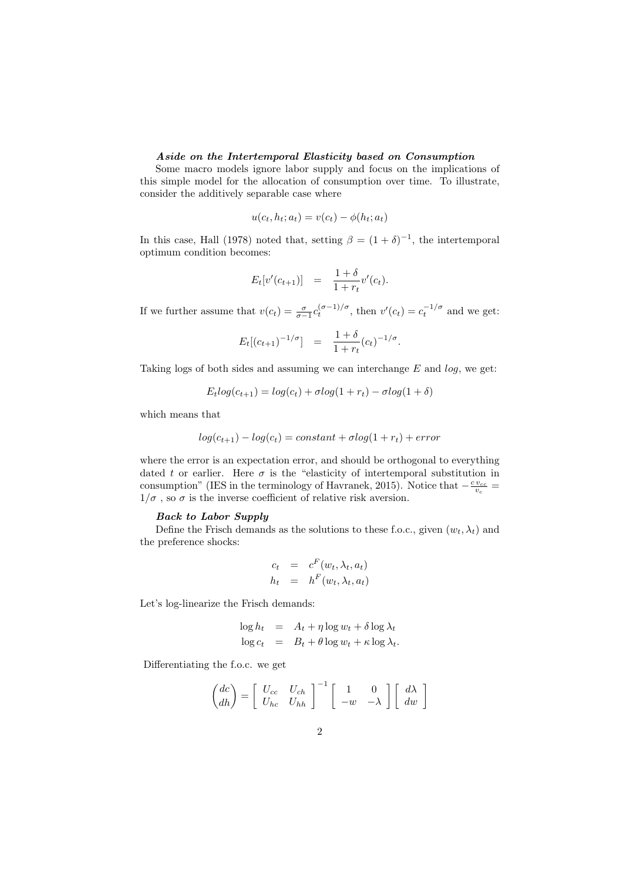## Aside on the Intertemporal Elasticity based on Consumption

Some macro models ignore labor supply and focus on the implications of this simple model for the allocation of consumption over time. To illustrate, consider the additively separable case where

$$
u(c_t, h_t; a_t) = v(c_t) - \phi(h_t; a_t)
$$

In this case, Hall (1978) noted that, setting  $\beta = (1 + \delta)^{-1}$ , the intertemporal optimum condition becomes:

$$
E_t[v'(c_{t+1})] = \frac{1+\delta}{1+r_t}v'(c_t).
$$

If we further assume that  $v(c_t) = \frac{\sigma}{\sigma - 1} c_t^{(\sigma - 1)/\sigma}$ , then  $v'(c_t) = c_t^{-1/\sigma}$  and we get:

$$
E_t[(c_{t+1})^{-1/\sigma}] = \frac{1+\delta}{1+r_t}(c_t)^{-1/\sigma}.
$$

Taking logs of both sides and assuming we can interchange  $E$  and  $log$ , we get:

$$
E_t \log(c_{t+1}) = \log(c_t) + \sigma \log(1 + r_t) - \sigma \log(1 + \delta)
$$

which means that

$$
log(c_{t+1}) - log(c_t) = constant + \sigma log(1 + r_t) + error
$$

where the error is an expectation error, and should be orthogonal to everything dated t or earlier. Here  $\sigma$  is the "elasticity of intertemporal substitution in consumption" (IES in the terminology of Havranek, 2015). Notice that  $-\frac{cv_{cc}}{v_c}$  =  $1/\sigma$  , so  $\sigma$  is the inverse coefficient of relative risk aversion.

## Back to Labor Supply

Define the Frisch demands as the solutions to these f.o.c., given  $(w_t, \lambda_t)$  and the preference shocks:

$$
c_t = c^F(w_t, \lambda_t, a_t)
$$
  

$$
h_t = h^F(w_t, \lambda_t, a_t)
$$

Let's log-linearize the Frisch demands:

$$
\log h_t = A_t + \eta \log w_t + \delta \log \lambda_t
$$
  

$$
\log c_t = B_t + \theta \log w_t + \kappa \log \lambda_t.
$$

Differentiating the f.o.c. we get

$$
\begin{pmatrix} dc \\ dh \end{pmatrix} = \begin{bmatrix} U_{cc} & U_{ch} \\ U_{hc} & U_{hh} \end{bmatrix}^{-1} \begin{bmatrix} 1 & 0 \\ -w & -\lambda \end{bmatrix} \begin{bmatrix} d\lambda \\ dw \end{bmatrix}
$$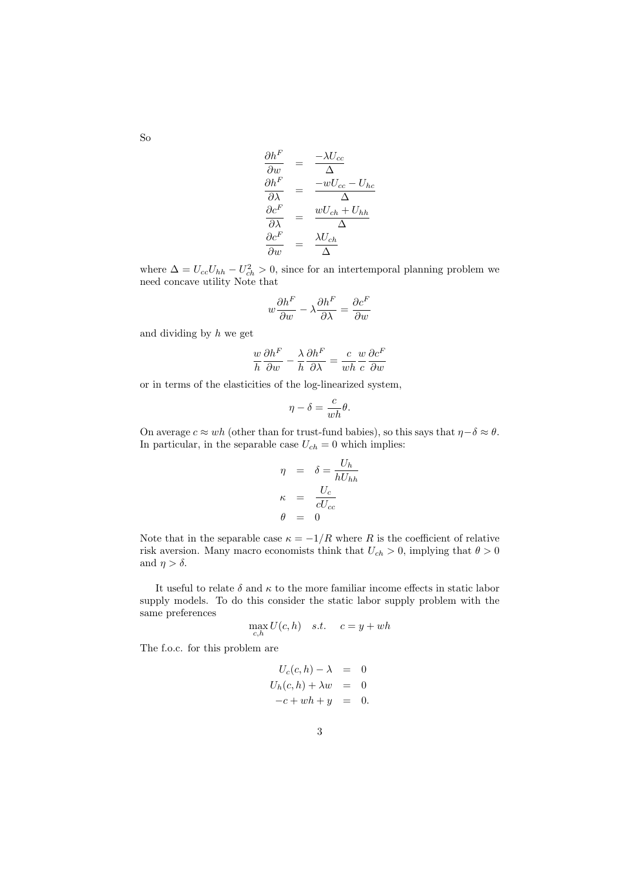$$
\begin{array}{rcl}\n\frac{\partial h^F}{\partial w} & = & \frac{-\lambda U_{cc}}{\Delta} \\
\frac{\partial h^F}{\partial \lambda} & = & \frac{-wU_{cc} - U_{hc}}{\Delta} \\
\frac{\partial c^F}{\partial \lambda} & = & \frac{wU_{ch} + U_{hh}}{\Delta} \\
\frac{\partial c^F}{\partial w} & = & \frac{\lambda U_{ch}}{\Delta}\n\end{array}
$$

where  $\Delta = U_{cc}U_{hh} - U_{ch}^2 > 0$ , since for an intertemporal planning problem we need concave utility Note that

$$
w\frac{\partial h^F}{\partial w} - \lambda \frac{\partial h^F}{\partial \lambda} = \frac{\partial c^F}{\partial w}
$$

and dividing by  $h$  we get

$$
\frac{w}{h}\frac{\partial h^F}{\partial w} - \frac{\lambda}{h}\frac{\partial h^F}{\partial \lambda} = \frac{c}{wh}\frac{w}{c}\frac{\partial c^F}{\partial w}
$$

or in terms of the elasticities of the log-linearized system,

$$
\eta - \delta = \frac{c}{wh} \theta.
$$

On average  $c \approx wh$  (other than for trust-fund babies), so this says that  $\eta - \delta \approx \theta$ . In particular, in the separable case  $U_{ch} = 0$  which implies:

$$
\eta = \delta = \frac{U_h}{hU_{hh}}
$$

$$
\kappa = \frac{U_c}{cU_{cc}}
$$

$$
\theta = 0
$$

Note that in the separable case  $\kappa = -1/R$  where R is the coefficient of relative risk aversion. Many macro economists think that  $U_{ch} > 0$ , implying that  $\theta > 0$ and  $\eta > \delta$ .

It useful to relate  $\delta$  and  $\kappa$  to the more familiar income effects in static labor supply models. To do this consider the static labor supply problem with the same preferences

$$
\max_{c,h} U(c,h) \quad s.t. \quad c = y + wh
$$

The f.o.c. for this problem are

$$
U_c(c, h) - \lambda = 0
$$
  

$$
U_h(c, h) + \lambda w = 0
$$
  

$$
-c + wh + y = 0.
$$

So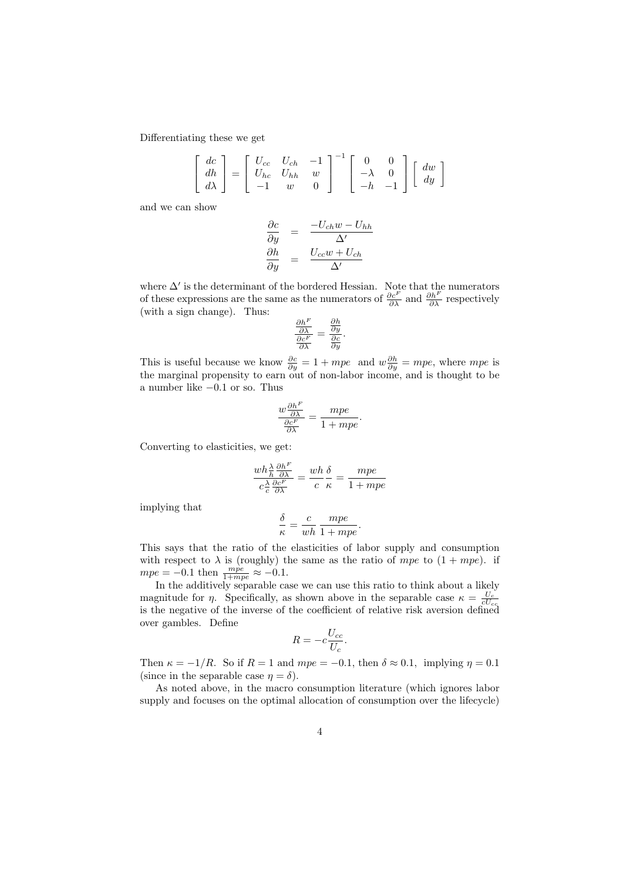Differentiating these we get

$$
\begin{bmatrix} dc \\ dh \\ d\lambda \end{bmatrix} = \begin{bmatrix} U_{cc} & U_{ch} & -1 \\ U_{hc} & U_{hh} & w \\ -1 & w & 0 \end{bmatrix}^{-1} \begin{bmatrix} 0 & 0 \\ -\lambda & 0 \\ -h & -1 \end{bmatrix} \begin{bmatrix} dw \\ dy \end{bmatrix}
$$

and we can show

$$
\frac{\partial c}{\partial y} = \frac{-U_{ch}w - U_{hh}}{\Delta'}\n\frac{\partial h}{\partial y} = \frac{U_{cc}w + U_{ch}}{\Delta'}
$$

where  $\Delta'$  is the determinant of the bordered Hessian. Note that the numerators of these expressions are the same as the numerators of  $\frac{\partial c^F}{\partial \lambda}$  and  $\frac{\partial h^F}{\partial \lambda}$  respectively (with a sign change). Thus:

$$
\frac{\frac{\partial h^F}{\partial \lambda}}{\frac{\partial c^F}{\partial \lambda}} = \frac{\frac{\partial h}{\partial y}}{\frac{\partial c}{\partial y}}.
$$

This is useful because we know  $\frac{\partial c}{\partial y} = 1 + mpe$  and  $w \frac{\partial h}{\partial y} = mpe$ , where mpe is the marginal propensity to earn out of non-labor income, and is thought to be a number like −0.1 or so. Thus

$$
\frac{w\frac{\partial h^F}{\partial \lambda}}{\frac{\partial c^F}{\partial \lambda}} = \frac{mpe}{1 + mpe}
$$

.

Converting to elasticities, we get:

$$
\frac{wh\frac{\lambda}{h}\frac{\partial h^F}{\partial \lambda}}{c\frac{\lambda}{c}\frac{\partial c^F}{\partial \lambda}} = \frac{wh}{c}\frac{\delta}{\kappa} = \frac{mpe}{1 + mpe}
$$

implying that

$$
\frac{\delta}{\kappa} = \frac{c}{wh} \frac{mpe}{1 + mpe}.
$$

This says that the ratio of the elasticities of labor supply and consumption with respect to  $\lambda$  is (roughly) the same as the ratio of mpe to  $(1 + mpe)$ . if  $mpe = -0.1$  then  $\frac{mpe}{1+mpe} \approx -0.1$ .

In the additively separable case we can use this ratio to think about a likely magnitude for *η*. Specifically, as shown above in the separable case  $\kappa = \frac{U_c}{cU_{cc}}$  is the negative of the inverse of the coefficient of relative risk aversion defined over gambles. Define

$$
R = -c\frac{U_{cc}}{U_c}.
$$

Then  $\kappa = -1/R$ . So if  $R = 1$  and  $mpe = -0.1$ , then  $\delta \approx 0.1$ , implying  $\eta = 0.1$ (since in the separable case  $\eta = \delta$ ).

As noted above, in the macro consumption literature (which ignores labor supply and focuses on the optimal allocation of consumption over the lifecycle)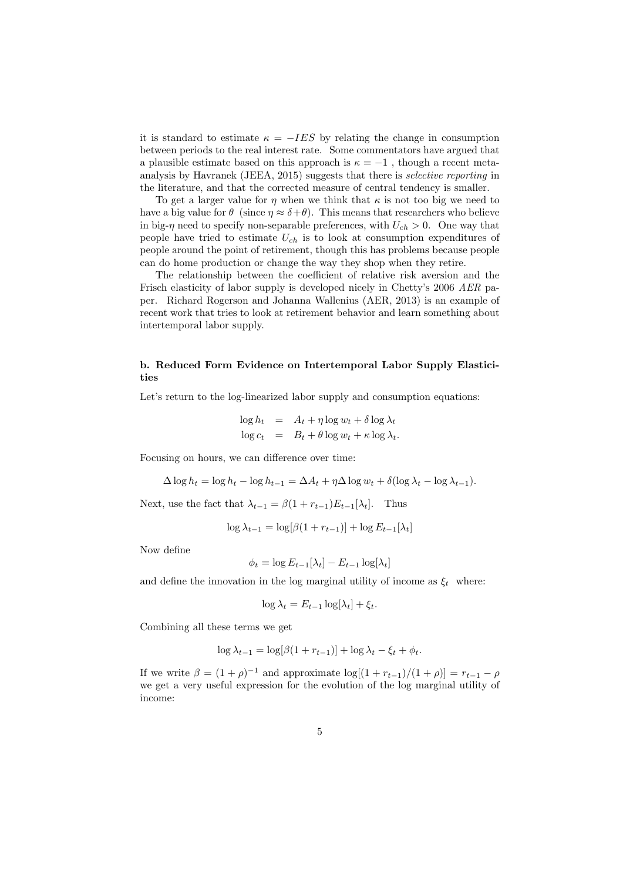it is standard to estimate  $\kappa = -IES$  by relating the change in consumption between periods to the real interest rate. Some commentators have argued that a plausible estimate based on this approach is  $\kappa = -1$ , though a recent metaanalysis by Havranek (JEEA, 2015) suggests that there is selective reporting in the literature, and that the corrected measure of central tendency is smaller.

To get a larger value for  $\eta$  when we think that  $\kappa$  is not too big we need to have a big value for  $\theta$  (since  $\eta \approx \delta + \theta$ ). This means that researchers who believe in big- $\eta$  need to specify non-separable preferences, with  $U_{ch} > 0$ . One way that people have tried to estimate  $U_{ch}$  is to look at consumption expenditures of people around the point of retirement, though this has problems because people can do home production or change the way they shop when they retire.

The relationship between the coefficient of relative risk aversion and the Frisch elasticity of labor supply is developed nicely in Chetty's 2006 AER paper. Richard Rogerson and Johanna Wallenius (AER, 2013) is an example of recent work that tries to look at retirement behavior and learn something about intertemporal labor supply.

# b. Reduced Form Evidence on Intertemporal Labor Supply Elasticities

Let's return to the log-linearized labor supply and consumption equations:

$$
\log h_t = A_t + \eta \log w_t + \delta \log \lambda_t
$$
  

$$
\log c_t = B_t + \theta \log w_t + \kappa \log \lambda_t.
$$

Focusing on hours, we can difference over time:

$$
\Delta \log h_t = \log h_t - \log h_{t-1} = \Delta A_t + \eta \Delta \log w_t + \delta (\log \lambda_t - \log \lambda_{t-1}).
$$

Next, use the fact that  $\lambda_{t-1} = \beta(1 + r_{t-1})E_{t-1}[\lambda_t]$ . Thus

$$
\log \lambda_{t-1} = \log[\beta(1 + r_{t-1})] + \log E_{t-1}[\lambda_t]
$$

Now define

$$
\phi_t = \log E_{t-1}[\lambda_t] - E_{t-1} \log[\lambda_t]
$$

and define the innovation in the log marginal utility of income as  $\xi_t$  where:

$$
\log \lambda_t = E_{t-1} \log[\lambda_t] + \xi_t.
$$

Combining all these terms we get

$$
\log \lambda_{t-1} = \log[\beta(1 + r_{t-1})] + \log \lambda_t - \xi_t + \phi_t.
$$

If we write  $\beta = (1 + \rho)^{-1}$  and approximate  $\log[(1 + r_{t-1})/(1 + \rho)] = r_{t-1} - \rho$ we get a very useful expression for the evolution of the log marginal utility of income: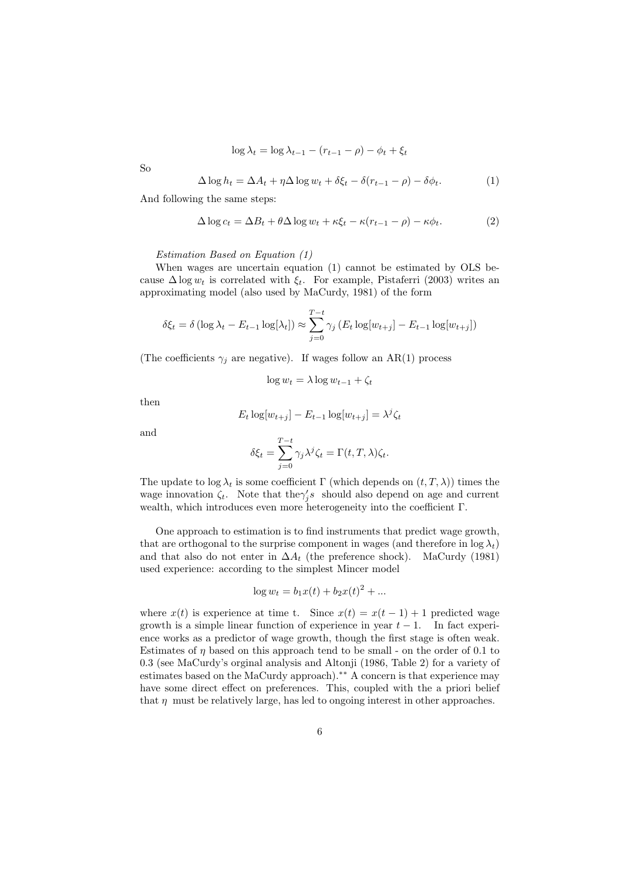$$
\log \lambda_t = \log \lambda_{t-1} - (r_{t-1} - \rho) - \phi_t + \xi_t
$$

So

$$
\Delta \log h_t = \Delta A_t + \eta \Delta \log w_t + \delta \xi_t - \delta (r_{t-1} - \rho) - \delta \phi_t. \tag{1}
$$

And following the same steps:

$$
\Delta \log c_t = \Delta B_t + \theta \Delta \log w_t + \kappa \xi_t - \kappa (r_{t-1} - \rho) - \kappa \phi_t. \tag{2}
$$

Estimation Based on Equation (1)

When wages are uncertain equation (1) cannot be estimated by OLS because  $\Delta \log w_t$  is correlated with  $\xi_t$ . For example, Pistaferri (2003) writes an approximating model (also used by MaCurdy, 1981) of the form

$$
\delta \xi_t = \delta \left( \log \lambda_t - E_{t-1} \log[\lambda_t] \right) \approx \sum_{j=0}^{T-t} \gamma_j \left( E_t \log[w_{t+j}] - E_{t-1} \log[w_{t+j}] \right)
$$

(The coefficients  $\gamma_i$  are negative). If wages follow an AR(1) process

$$
\log w_t = \lambda \log w_{t-1} + \zeta_t
$$

then

$$
E_t \log[w_{t+j}] - E_{t-1} \log[w_{t+j}] = \lambda^j \zeta_t
$$

and

$$
\delta \xi_t = \sum_{j=0}^{T-t} \gamma_j \lambda^j \zeta_t = \Gamma(t, T, \lambda) \zeta_t.
$$

The update to log  $\lambda_t$  is some coefficient Γ (which depends on  $(t, T, \lambda)$ ) times the wage innovation  $\zeta_t$ . Note that the  $\gamma'_j s$  should also depend on age and current wealth, which introduces even more heterogeneity into the coefficient Γ.

One approach to estimation is to find instruments that predict wage growth, that are orthogonal to the surprise component in wages (and therefore in  $\log \lambda_t$ ) and that also do not enter in  $\Delta A_t$  (the preference shock). MaCurdy (1981) used experience: according to the simplest Mincer model

$$
\log w_t = b_1 x(t) + b_2 x(t)^2 + \dots
$$

where  $x(t)$  is experience at time t. Since  $x(t) = x(t-1) + 1$  predicted wage growth is a simple linear function of experience in year  $t-1$ . In fact experience works as a predictor of wage growth, though the first stage is often weak. Estimates of  $\eta$  based on this approach tend to be small - on the order of 0.1 to 0.3 (see MaCurdy's orginal analysis and Altonji (1986, Table 2) for a variety of estimates based on the MaCurdy approach).<sup>∗∗</sup> A concern is that experience may have some direct effect on preferences. This, coupled with the a priori belief that  $\eta$  must be relatively large, has led to ongoing interest in other approaches.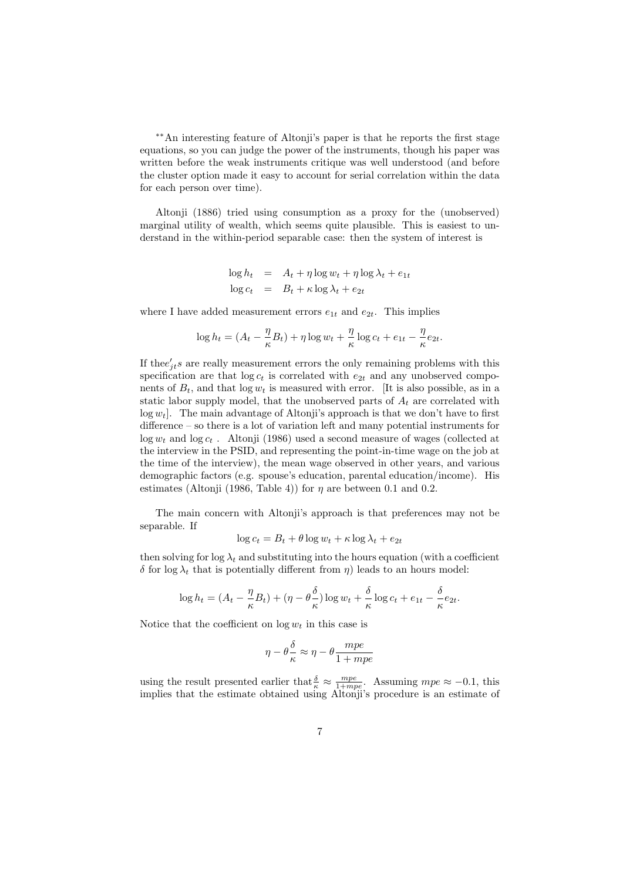∗∗An interesting feature of Altonji's paper is that he reports the first stage equations, so you can judge the power of the instruments, though his paper was written before the weak instruments critique was well understood (and before the cluster option made it easy to account for serial correlation within the data for each person over time).

Altonji (1886) tried using consumption as a proxy for the (unobserved) marginal utility of wealth, which seems quite plausible. This is easiest to understand in the within-period separable case: then the system of interest is

$$
\log h_t = A_t + \eta \log w_t + \eta \log \lambda_t + e_{1t}
$$
  

$$
\log c_t = B_t + \kappa \log \lambda_t + e_{2t}
$$

where I have added measurement errors  $e_{1t}$  and  $e_{2t}$ . This implies

$$
\log h_t = (A_t - \frac{\eta}{\kappa}B_t) + \eta \log w_t + \frac{\eta}{\kappa} \log c_t + e_{1t} - \frac{\eta}{\kappa} e_{2t}.
$$

If the  $e'_{jt}$ s are really measurement errors the only remaining problems with this specification are that  $log c_t$  is correlated with  $e_{2t}$  and any unobserved components of  $B_t$ , and that  $\log w_t$  is measured with error. [It is also possible, as in a static labor supply model, that the unobserved parts of  $A_t$  are correlated with  $log w_t$ . The main advantage of Altonji's approach is that we don't have to first difference – so there is a lot of variation left and many potential instruments for  $log w_t$  and  $log c_t$ . Altonji (1986) used a second measure of wages (collected at the interview in the PSID, and representing the point-in-time wage on the job at the time of the interview), the mean wage observed in other years, and various demographic factors (e.g. spouse's education, parental education/income). His estimates (Altonji (1986, Table 4)) for  $\eta$  are between 0.1 and 0.2.

The main concern with Altonji's approach is that preferences may not be separable. If

$$
\log c_t = B_t + \theta \log w_t + \kappa \log \lambda_t + e_{2t}
$$

then solving for  $\log \lambda_t$  and substituting into the hours equation (with a coefficient  $δ$  for log  $λ_t$  that is potentially different from η) leads to an hours model:

$$
\log h_t = (A_t - \frac{\eta}{\kappa} B_t) + (\eta - \theta \frac{\delta}{\kappa}) \log w_t + \frac{\delta}{\kappa} \log c_t + e_{1t} - \frac{\delta}{\kappa} e_{2t}.
$$

Notice that the coefficient on  $\log w_t$  in this case is

$$
\eta - \theta \frac{\delta}{\kappa} \approx \eta - \theta \frac{mpe}{1 + mpe}
$$

using the result presented earlier that  $\frac{\delta}{\kappa} \approx \frac{mpe}{1+mpe}$ . Assuming  $mpe \approx -0.1$ , this implies that the estimate obtained using Altonji's procedure is an estimate of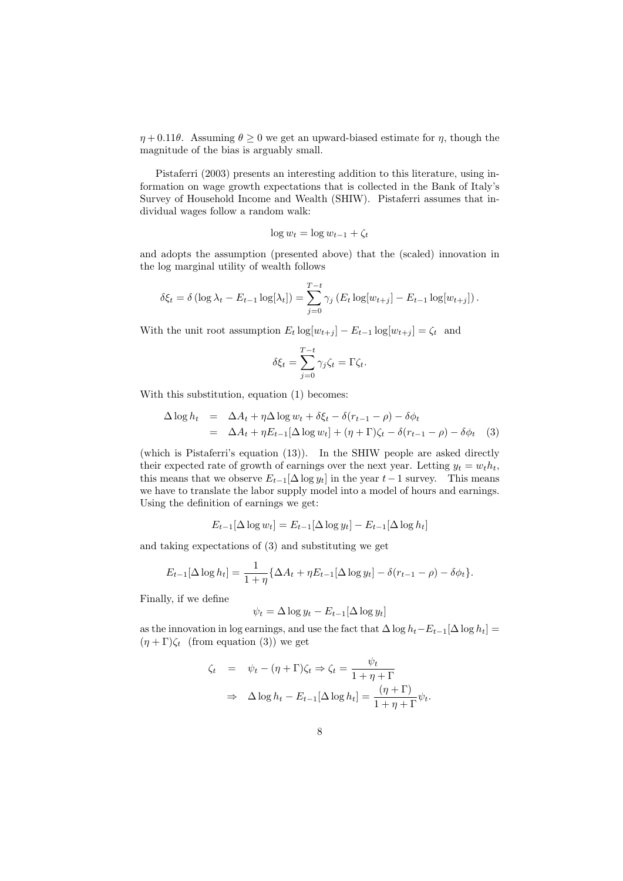$\eta + 0.11\theta$ . Assuming  $\theta \ge 0$  we get an upward-biased estimate for  $\eta$ , though the magnitude of the bias is arguably small.

Pistaferri (2003) presents an interesting addition to this literature, using information on wage growth expectations that is collected in the Bank of Italy's Survey of Household Income and Wealth (SHIW). Pistaferri assumes that individual wages follow a random walk:

$$
\log w_t = \log w_{t-1} + \zeta_t
$$

and adopts the assumption (presented above) that the (scaled) innovation in the log marginal utility of wealth follows

$$
\delta \xi_t = \delta \left( \log \lambda_t - E_{t-1} \log[\lambda_t] \right) = \sum_{j=0}^{T-t} \gamma_j \left( E_t \log[w_{t+j}] - E_{t-1} \log[w_{t+j}] \right).
$$

With the unit root assumption  $E_t \log[w_{t+j}] - E_{t-1} \log[w_{t+j}] = \zeta_t$  and

$$
\delta \xi_t = \sum_{j=0}^{T-t} \gamma_j \zeta_t = \Gamma \zeta_t.
$$

With this substitution, equation (1) becomes:

$$
\Delta \log h_t = \Delta A_t + \eta \Delta \log w_t + \delta \xi_t - \delta (r_{t-1} - \rho) - \delta \phi_t
$$
  
= 
$$
\Delta A_t + \eta E_{t-1} [\Delta \log w_t] + (\eta + \Gamma) \zeta_t - \delta (r_{t-1} - \rho) - \delta \phi_t
$$
 (3)

(which is Pistaferri's equation (13)). In the SHIW people are asked directly their expected rate of growth of earnings over the next year. Letting  $y_t = w_t h_t$ , this means that we observe  $E_{t-1}[\Delta \log y_t]$  in the year  $t-1$  survey. This means we have to translate the labor supply model into a model of hours and earnings. Using the definition of earnings we get:

$$
E_{t-1}[\Delta \log w_t] = E_{t-1}[\Delta \log y_t] - E_{t-1}[\Delta \log h_t]
$$

and taking expectations of (3) and substituting we get

$$
E_{t-1}[\Delta \log h_t] = \frac{1}{1+\eta} \{ \Delta A_t + \eta E_{t-1}[\Delta \log y_t] - \delta (r_{t-1} - \rho) - \delta \phi_t \}.
$$

Finally, if we define

$$
\psi_t = \Delta \log y_t - E_{t-1}[\Delta \log y_t]
$$

as the innovation in log earnings, and use the fact that  $\Delta \log h_t - E_{t-1}[\Delta \log h_t] =$  $(\eta + \Gamma)\zeta_t$  (from equation (3)) we get

$$
\zeta_t = \psi_t - (\eta + \Gamma)\zeta_t \Rightarrow \zeta_t = \frac{\psi_t}{1 + \eta + \Gamma}
$$

$$
\Rightarrow \Delta \log h_t - E_{t-1}[\Delta \log h_t] = \frac{(\eta + \Gamma)}{1 + \eta + \Gamma} \psi_t.
$$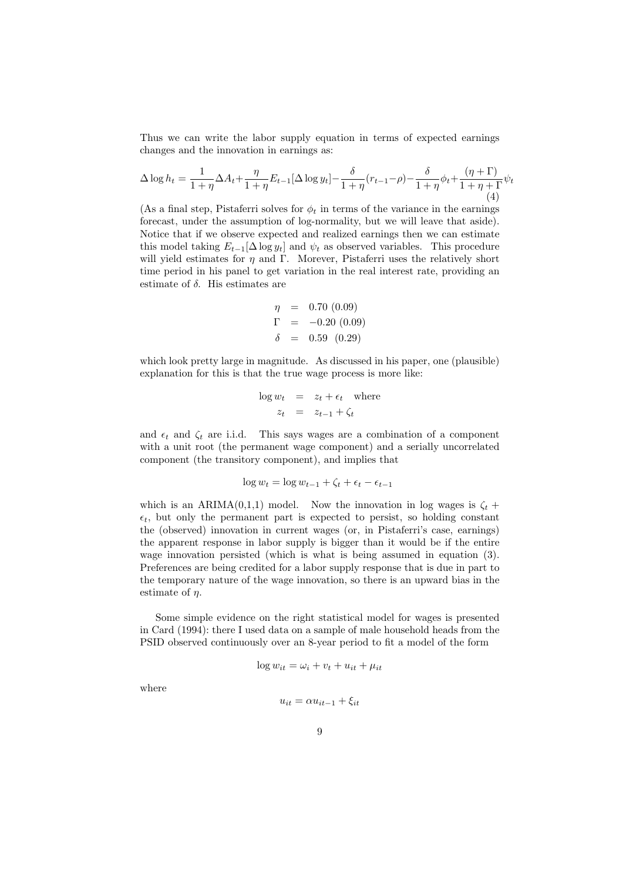Thus we can write the labor supply equation in terms of expected earnings changes and the innovation in earnings as:

$$
\Delta \log h_t = \frac{1}{1+\eta} \Delta A_t + \frac{\eta}{1+\eta} E_{t-1} [\Delta \log y_t] - \frac{\delta}{1+\eta} (r_{t-1} - \rho) - \frac{\delta}{1+\eta} \phi_t + \frac{(\eta + \Gamma)}{1+\eta + \Gamma} \psi_t
$$
\n(4)

(As a final step, Pistaferri solves for  $\phi_t$  in terms of the variance in the earnings forecast, under the assumption of log-normality, but we will leave that aside). Notice that if we observe expected and realized earnings then we can estimate this model taking  $E_{t-1}[\Delta \log y_t]$  and  $\psi_t$  as observed variables. This procedure will yield estimates for  $\eta$  and Γ. Morever, Pistaferri uses the relatively short time period in his panel to get variation in the real interest rate, providing an estimate of  $\delta$ . His estimates are

$$
\eta = 0.70 (0.09)
$$
  
\n
$$
\Gamma = -0.20 (0.09)
$$
  
\n
$$
\delta = 0.59 (0.29)
$$

which look pretty large in magnitude. As discussed in his paper, one (plausible) explanation for this is that the true wage process is more like:

$$
\log w_t = z_t + \epsilon_t \quad \text{where}
$$
  

$$
z_t = z_{t-1} + \zeta_t
$$

and  $\epsilon_t$  and  $\zeta_t$  are i.i.d. This says wages are a combination of a component with a unit root (the permanent wage component) and a serially uncorrelated component (the transitory component), and implies that

$$
\log w_t = \log w_{t-1} + \zeta_t + \epsilon_t - \epsilon_{t-1}
$$

which is an ARIMA(0,1,1) model. Now the innovation in log wages is  $\zeta_t$  +  $\epsilon_t$ , but only the permanent part is expected to persist, so holding constant the (observed) innovation in current wages (or, in Pistaferri's case, earnings) the apparent response in labor supply is bigger than it would be if the entire wage innovation persisted (which is what is being assumed in equation (3). Preferences are being credited for a labor supply response that is due in part to the temporary nature of the wage innovation, so there is an upward bias in the estimate of  $\eta$ .

Some simple evidence on the right statistical model for wages is presented in Card (1994): there I used data on a sample of male household heads from the PSID observed continuously over an 8-year period to fit a model of the form

$$
\log w_{it} = \omega_i + v_t + u_{it} + \mu_{it}
$$

where

$$
u_{it} = \alpha u_{it-1} + \xi_{it}
$$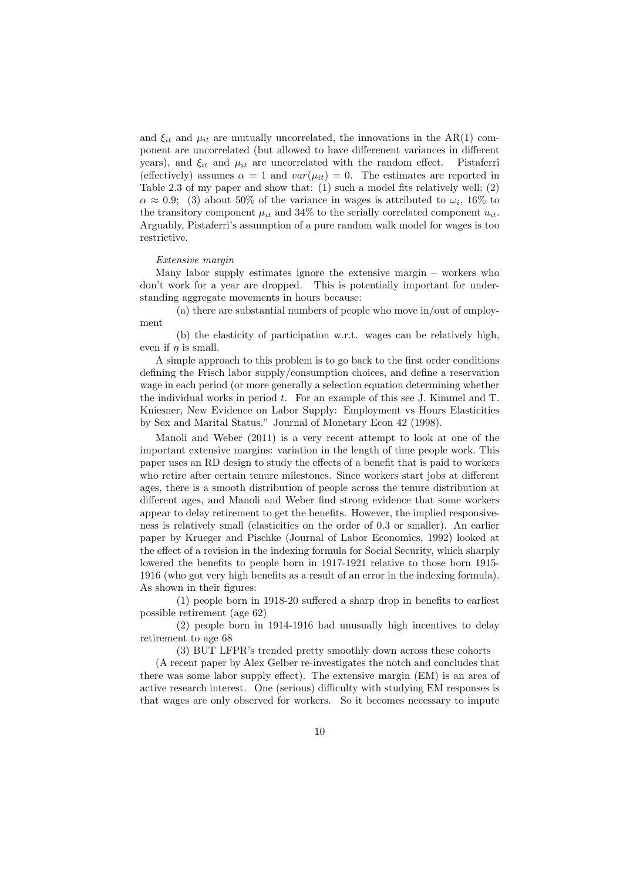and  $\xi_{it}$  and  $\mu_{it}$  are mutually uncorrelated, the innovations in the AR(1) component are uncorrelated (but allowed to have differenent variances in different years), and  $\xi_{it}$  and  $\mu_{it}$  are uncorrelated with the random effect. Pistaferri (effectively) assumes  $\alpha = 1$  and  $var(\mu_{it}) = 0$ . The estimates are reported in Table 2.3 of my paper and show that: (1) such a model fits relatively well; (2)  $\alpha \approx 0.9$ ; (3) about 50% of the variance in wages is attributed to  $\omega_i$ , 16% to the transitory component  $\mu_{it}$  and 34% to the serially correlated component  $u_{it}$ . Arguably, Pistaferri's assumption of a pure random walk model for wages is too restrictive.

#### Extensive margin

Many labor supply estimates ignore the extensive margin – workers who don't work for a year are dropped. This is potentially important for understanding aggregate movements in hours because:

(a) there are substantial numbers of people who move in/out of employment

(b) the elasticity of participation w.r.t. wages can be relatively high, even if  $\eta$  is small.

A simple approach to this problem is to go back to the first order conditions defining the Frisch labor supply/consumption choices, and define a reservation wage in each period (or more generally a selection equation determining whether the individual works in period  $t$ . For an example of this see J. Kimmel and T. Kniesner, New Evidence on Labor Supply: Employment vs Hours Elasticities by Sex and Marital Status." Journal of Monetary Econ 42 (1998).

Manoli and Weber (2011) is a very recent attempt to look at one of the important extensive margins: variation in the length of time people work. This paper uses an RD design to study the effects of a benefit that is paid to workers who retire after certain tenure milestones. Since workers start jobs at different ages, there is a smooth distribution of people across the tenure distribution at different ages, and Manoli and Weber find strong evidence that some workers appear to delay retirement to get the benefits. However, the implied responsiveness is relatively small (elasticities on the order of 0.3 or smaller). An earlier paper by Krueger and Pischke (Journal of Labor Economics, 1992) looked at the effect of a revision in the indexing formula for Social Security, which sharply lowered the benefits to people born in 1917-1921 relative to those born 1915- 1916 (who got very high benefits as a result of an error in the indexing formula). As shown in their figures:

(1) people born in 1918-20 suffered a sharp drop in benefits to earliest possible retirement (age 62)

(2) people born in 1914-1916 had unusually high incentives to delay retirement to age 68

(3) BUT LFPR's trended pretty smoothly down across these cohorts

(A recent paper by Alex Gelber re-investigates the notch and concludes that there was some labor supply effect). The extensive margin (EM) is an area of active research interest. One (serious) difficulty with studying EM responses is that wages are only observed for workers. So it becomes necessary to impute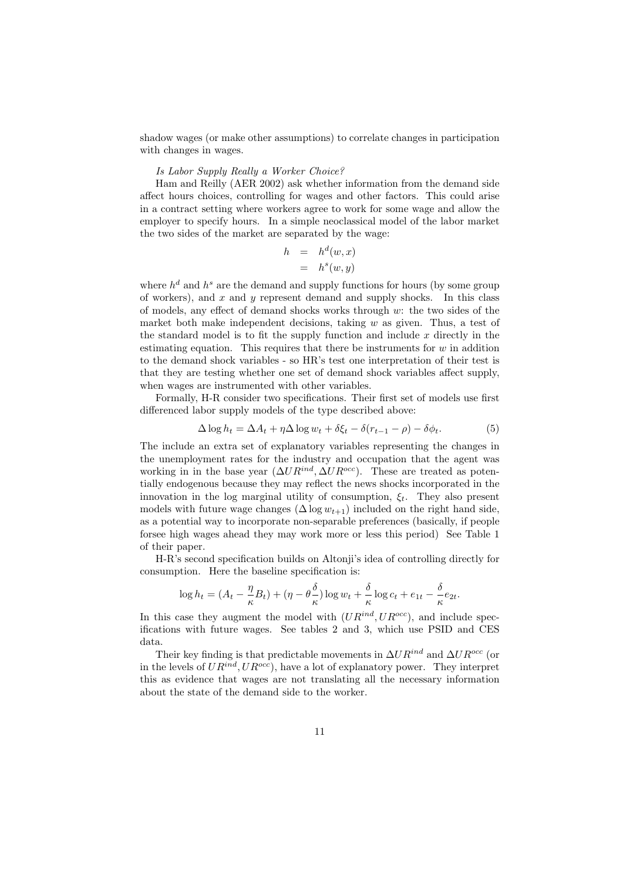shadow wages (or make other assumptions) to correlate changes in participation with changes in wages.

### Is Labor Supply Really a Worker Choice?

Ham and Reilly (AER 2002) ask whether information from the demand side affect hours choices, controlling for wages and other factors. This could arise in a contract setting where workers agree to work for some wage and allow the employer to specify hours. In a simple neoclassical model of the labor market the two sides of the market are separated by the wage:

$$
h = h^d(w, x)
$$
  
=  $h^s(w, y)$ 

where  $h^d$  and  $h^s$  are the demand and supply functions for hours (by some group of workers), and  $x$  and  $y$  represent demand and supply shocks. In this class of models, any effect of demand shocks works through w: the two sides of the market both make independent decisions, taking  $w$  as given. Thus, a test of the standard model is to fit the supply function and include  $x$  directly in the estimating equation. This requires that there be instruments for  $w$  in addition to the demand shock variables - so HR's test one interpretation of their test is that they are testing whether one set of demand shock variables affect supply, when wages are instrumented with other variables.

Formally, H-R consider two specifications. Their first set of models use first differenced labor supply models of the type described above:

$$
\Delta \log h_t = \Delta A_t + \eta \Delta \log w_t + \delta \xi_t - \delta (r_{t-1} - \rho) - \delta \phi_t. \tag{5}
$$

The include an extra set of explanatory variables representing the changes in the unemployment rates for the industry and occupation that the agent was working in in the base year  $(\Delta U R^{ind}, \Delta U R^{occ})$ . These are treated as potentially endogenous because they may reflect the news shocks incorporated in the innovation in the log marginal utility of consumption,  $\xi_t$ . They also present models with future wage changes  $(\Delta \log w_{t+1})$  included on the right hand side, as a potential way to incorporate non-separable preferences (basically, if people forsee high wages ahead they may work more or less this period) See Table 1 of their paper.

H-R's second specification builds on Altonji's idea of controlling directly for consumption. Here the baseline specification is:

$$
\log h_t = (A_t - \frac{\eta}{\kappa}B_t) + (\eta - \theta \frac{\delta}{\kappa}) \log w_t + \frac{\delta}{\kappa} \log c_t + e_{1t} - \frac{\delta}{\kappa} e_{2t}.
$$

In this case they augment the model with  $(UR^{ind}, UR^{occ})$ , and include specifications with future wages. See tables 2 and 3, which use PSID and CES data.

Their key finding is that predictable movements in  $\Delta UR^{ind}$  and  $\Delta UR^{occ}$  (or in the levels of  $UR^{ind}$ ,  $UR^{occ}$ ), have a lot of explanatory power. They interpret this as evidence that wages are not translating all the necessary information about the state of the demand side to the worker.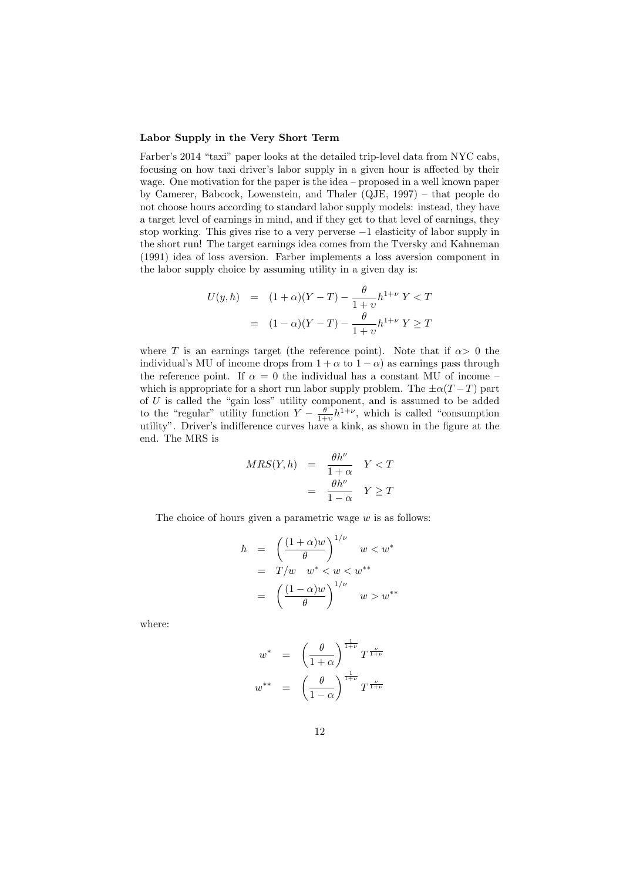#### Labor Supply in the Very Short Term

Farber's 2014 "taxi" paper looks at the detailed trip-level data from NYC cabs, focusing on how taxi driver's labor supply in a given hour is affected by their wage. One motivation for the paper is the idea – proposed in a well known paper by Camerer, Babcock, Lowenstein, and Thaler (QJE, 1997) – that people do not choose hours according to standard labor supply models: instead, they have a target level of earnings in mind, and if they get to that level of earnings, they stop working. This gives rise to a very perverse −1 elasticity of labor supply in the short run! The target earnings idea comes from the Tversky and Kahneman (1991) idea of loss aversion. Farber implements a loss aversion component in the labor supply choice by assuming utility in a given day is:

$$
U(y, h) = (1 + \alpha)(Y - T) - \frac{\theta}{1 + \upsilon} h^{1 + \nu} Y < T
$$
\n
$$
= (1 - \alpha)(Y - T) - \frac{\theta}{1 + \upsilon} h^{1 + \nu} Y \ge T
$$

where T is an earnings target (the reference point). Note that if  $\alpha > 0$  the individual's MU of income drops from  $1 + \alpha$  to  $1 - \alpha$ ) as earnings pass through the reference point. If  $\alpha = 0$  the individual has a constant MU of income – which is appropriate for a short run labor supply problem. The  $\pm \alpha(T-T)$  part of  $U$  is called the "gain loss" utility component, and is assumed to be added to the "regular" utility function  $Y - \frac{\theta}{1+v} h^{1+\nu}$ , which is called "consumption utility". Driver's indifference curves have a kink, as shown in the figure at the end. The MRS is

$$
MRS(Y, h) = \frac{\theta h^{\nu}}{1 + \alpha} Y < T
$$
\n
$$
= \frac{\theta h^{\nu}}{1 - \alpha} Y \geq T
$$

The choice of hours given a parametric wage  $w$  is as follows:

$$
h = \left(\frac{(1+\alpha)w}{\theta}\right)^{1/\nu} w < w^*
$$
  
=  $T/w$   $w^* < w < w^{**}$   
=  $\left(\frac{(1-\alpha)w}{\theta}\right)^{1/\nu} w > w^{**}$ 

where:

$$
w^* = \left(\frac{\theta}{1+\alpha}\right)^{\frac{1}{1+\nu}} T^{\frac{\nu}{1+\nu}}
$$

$$
w^{**} = \left(\frac{\theta}{1-\alpha}\right)^{\frac{1}{1+\nu}} T^{\frac{\nu}{1+\nu}}
$$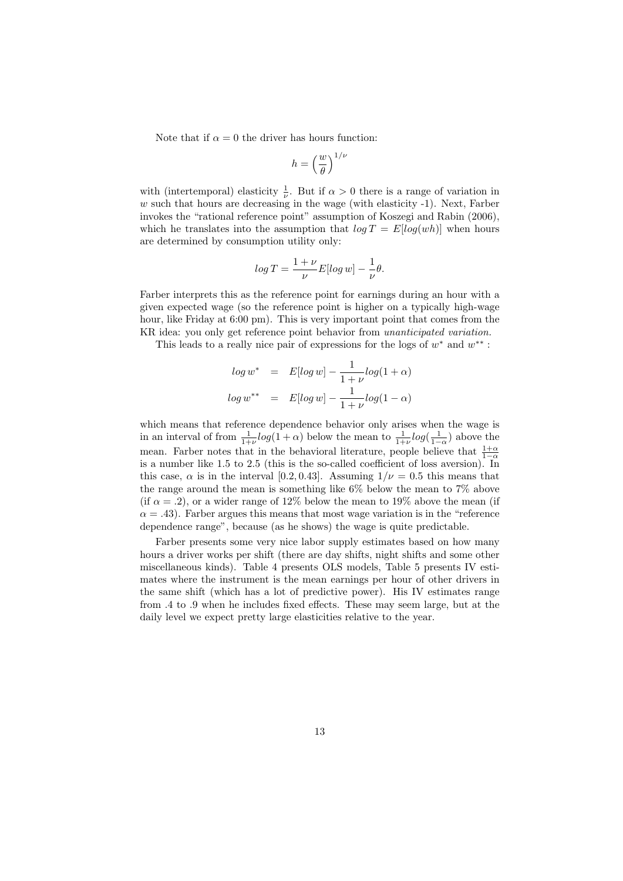Note that if  $\alpha = 0$  the driver has hours function:

$$
h = \left(\frac{w}{\theta}\right)^{1/\nu}
$$

with (intertemporal) elasticity  $\frac{1}{\nu}$ . But if  $\alpha > 0$  there is a range of variation in  $w$  such that hours are decreasing in the wage (with elasticity  $-1$ ). Next, Farber invokes the "rational reference point" assumption of Koszegi and Rabin (2006), which he translates into the assumption that  $log T = E[log(wh)]$  when hours are determined by consumption utility only:

$$
\log T = \frac{1+\nu}{\nu} E[\log w] - \frac{1}{\nu}\theta.
$$

Farber interprets this as the reference point for earnings during an hour with a given expected wage (so the reference point is higher on a typically high-wage hour, like Friday at 6:00 pm). This is very important point that comes from the KR idea: you only get reference point behavior from unanticipated variation.

This leads to a really nice pair of expressions for the logs of  $w^*$  and  $w^{**}$ :

$$
log w^* = E[log w] - \frac{1}{1+\nu}log(1+\alpha)
$$
  

$$
log w^{**} = E[log w] - \frac{1}{1+\nu}log(1-\alpha)
$$

which means that reference dependence behavior only arises when the wage is in an interval of from  $\frac{1}{1+\nu}log(1+\alpha)$  below the mean to  $\frac{1}{1+\nu}log(\frac{1}{1-\alpha})$  above the mean. Farber notes that in the behavioral literature, people believe that  $\frac{1+\alpha}{1-\alpha}$ is a number like 1.5 to 2.5 (this is the so-called coefficient of loss aversion). In this case,  $\alpha$  is in the interval [0.2, 0.43]. Assuming  $1/\nu = 0.5$  this means that the range around the mean is something like 6% below the mean to 7% above (if  $\alpha = .2$ ), or a wider range of 12% below the mean to 19% above the mean (if  $\alpha = .43$ ). Farber argues this means that most wage variation is in the "reference dependence range", because (as he shows) the wage is quite predictable.

Farber presents some very nice labor supply estimates based on how many hours a driver works per shift (there are day shifts, night shifts and some other miscellaneous kinds). Table 4 presents OLS models, Table 5 presents IV estimates where the instrument is the mean earnings per hour of other drivers in the same shift (which has a lot of predictive power). His IV estimates range from .4 to .9 when he includes fixed effects. These may seem large, but at the daily level we expect pretty large elasticities relative to the year.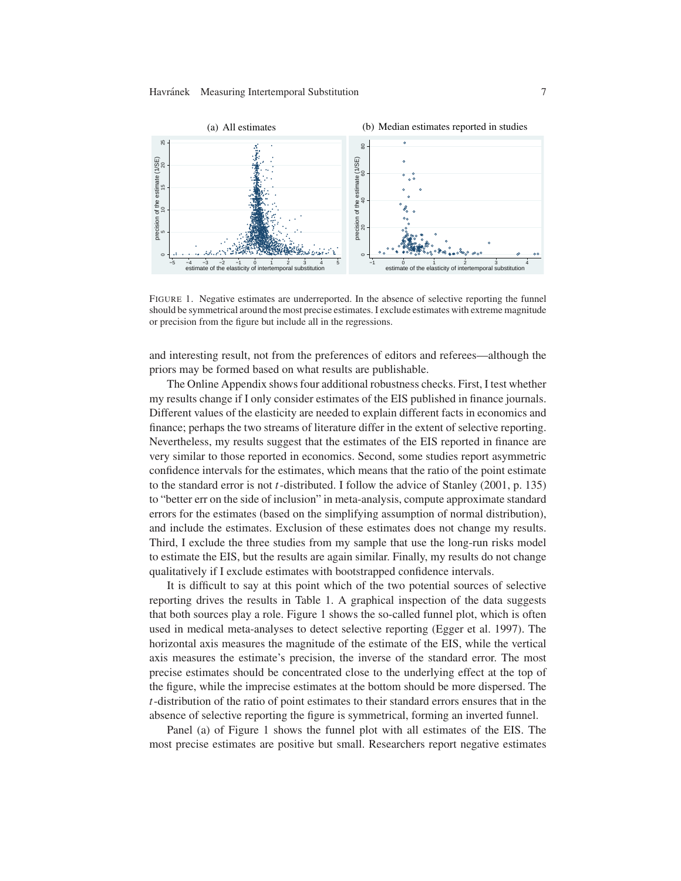

FIGURE 1. Negative estimates are underreported. In the absence of selective reporting the funnel should be symmetrical around the most precise estimates. I exclude estimates with extreme magnitude or precision from the figure but include all in the regressions.

and interesting result, not from the preferences of editors and referees—although the priors may be formed based on what results are publishable.

The Online Appendix shows four additional robustness checks. First, I test whether my results change if I only consider estimates of the EIS published in finance journals. Different values of the elasticity are needed to explain different facts in economics and finance; perhaps the two streams of literature differ in the extent of selective reporting. Nevertheless, my results suggest that the estimates of the EIS reported in finance are very similar to those reported in economics. Second, some studies report asymmetric confidence intervals for the estimates, which means that the ratio of the point estimate to the standard error is not t-distributed. I follow the advice of Stanley (2001, p. 135) to "better err on the side of inclusion" in meta-analysis, compute approximate standard errors for the estimates (based on the simplifying assumption of normal distribution), and include the estimates. Exclusion of these estimates does not change my results. Third, I exclude the three studies from my sample that use the long-run risks model to estimate the EIS, but the results are again similar. Finally, my results do not change qualitatively if I exclude estimates with bootstrapped confidence intervals.

It is difficult to say at this point which of the two potential sources of selective reporting drives the results in Table 1. A graphical inspection of the data suggests that both sources play a role. Figure 1 shows the so-called funnel plot, which is often used in medical meta-analyses to detect selective reporting (Egger et al. 1997). The horizontal axis measures the magnitude of the estimate of the EIS, while the vertical axis measures the estimate's precision, the inverse of the standard error. The most precise estimates should be concentrated close to the underlying effect at the top of the figure, while the imprecise estimates at the bottom should be more dispersed. The  $t$ -distribution of the ratio of point estimates to their standard errors ensures that in the absence of selective reporting the figure is symmetrical, forming an inverted funnel.

Panel (a) of Figure 1 shows the funnel plot with all estimates of the EIS. The most precise estimates are positive but small. Researchers report negative estimates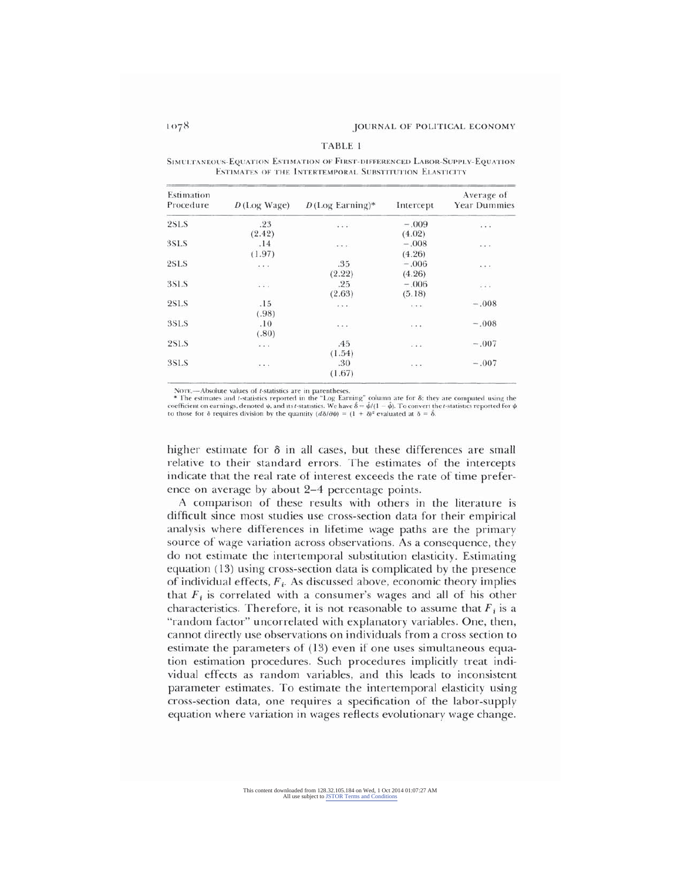|  | TABLE 1 |  |  |
|--|---------|--|--|
|  |         |  |  |

SIMULTANEOUS-EQUATION ESTIMATION OF FIRST-DIFFERENCED LABOR-SUPPLY-EQUATION ESTIMATES OF THE INTERTEMPORAL SUBSTITUTION ELASTICITY

| Estimation<br>Procedure | $D$ (Log Wage)                                                                          | $D$ (Log Earning)*   | Intercept                         | Average of<br><b>Year Dummies</b> |
|-------------------------|-----------------------------------------------------------------------------------------|----------------------|-----------------------------------|-----------------------------------|
| 2SLS                    | .23                                                                                     | $\cdots$             | $-.009$                           | $\cdots$                          |
|                         | (2.42)                                                                                  |                      | (4.02)                            |                                   |
| 3SLS                    | .14                                                                                     | $+ + +$              | $-.008$                           | 1.1.1                             |
|                         | (1.97)                                                                                  |                      | (4.26)                            |                                   |
| 2SLS                    | $\sim$ 1.1                                                                              | .35                  | $-.006$                           | $\sim$ + $\sim$                   |
|                         |                                                                                         | (2.22)               | (4.26)                            |                                   |
| <b>3SLS</b>             | $\cdots$                                                                                | .25                  | $-.006$                           | $\ldots$                          |
|                         |                                                                                         | (2.63)               | (5.18)                            |                                   |
| 2SLS                    | .15                                                                                     | $\sim$ $\sim$ $\sim$ | $\epsilon \rightarrow -\epsilon$  | $-.008$                           |
|                         | (.98)                                                                                   |                      |                                   |                                   |
| 3SLS                    | .10                                                                                     | $\sim$ 0.00 $\sim$   | 22.3                              | $-.008$                           |
|                         | (.80)                                                                                   |                      |                                   |                                   |
| <b>2SLS</b>             | 1.1.1                                                                                   | .45                  | $-1.1.1$                          | $-.007$                           |
|                         |                                                                                         | (1.54)               |                                   |                                   |
| 3SLS                    | $\bullet$ .<br><br><br><br><br><br><br><br><br><br><br><br><br><br><br><br><br><br><br> | .30                  | $\bullet$ , $\bullet$ , $\bullet$ | $-.007$                           |
|                         |                                                                                         | (1.67)               |                                   |                                   |

NOTE.---Absolute values of t-statistics are in parentheses.

The estimates and *t*-statistics reported in the "Log Earning" column are for  $\delta$ ; they are computed using the coefficient on earnings, denoted  $\psi$ , and its *t*-statistics. We have  $\delta = \hat{\psi}/(1 - \hat{\psi})$ . To convert the *t* 

higher estimate for  $\delta$  in all cases, but these differences are small relative to their standard errors. The estimates of the intercepts indicate that the real rate of interest exceeds the rate of time preference on average by about 2-4 percentage points.

A comparison of these results with others in the literature is difficult since most studies use cross-section data for their empirical analysis where differences in lifetime wage paths are the primary source of wage variation across observations. As a consequence, they do not estimate the intertemporal substitution elasticity. Estimating equation (13) using cross-section data is complicated by the presence of individual effects,  $F_i$ . As discussed above, economic theory implies that  $F_i$  is correlated with a consumer's wages and all of his other characteristics. Therefore, it is not reasonable to assume that  $F_i$  is a "random factor" uncorrelated with explanatory variables. One, then, cannot directly use observations on individuals from a cross section to estimate the parameters of (13) even if one uses simultaneous equation estimation procedures. Such procedures implicitly treat individual effects as random variables, and this leads to inconsistent parameter estimates. To estimate the intertemporal elasticity using cross-section data, one requires a specification of the labor-supply equation where variation in wages reflects evolutionary wage change.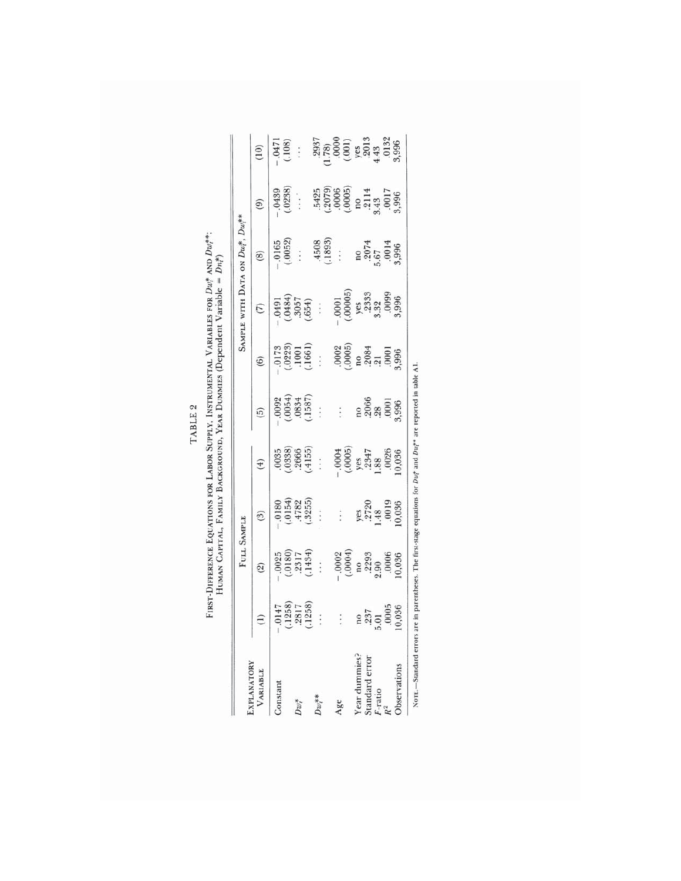FIRST-DIFFERENCE EQUATIONS FOR LABOR SUPPLY, INSTRUMENTAL VARIABLES FOR  $Dw_i^*$  and  $Dw_i^{**}$ .<br>HUMAN CAPITAL, FAMILY BACKGROUND, YEAR DUMMES (Dependent Variable =  $Dn_i^*)$ ) TABLE 2

|                                                   |                                                                                              | FULL SAMPLE                                                                                   |                                                         |                                                                       |                                                          |                                                                                                                                                                                                                                                                                             | SAMPLE WITH DATA ON Du!, Du!**                                                                                                                                                                                                                                                                                                                                                  |                                                                                                             |                                                                                                          |                                                                                                                 |
|---------------------------------------------------|----------------------------------------------------------------------------------------------|-----------------------------------------------------------------------------------------------|---------------------------------------------------------|-----------------------------------------------------------------------|----------------------------------------------------------|---------------------------------------------------------------------------------------------------------------------------------------------------------------------------------------------------------------------------------------------------------------------------------------------|---------------------------------------------------------------------------------------------------------------------------------------------------------------------------------------------------------------------------------------------------------------------------------------------------------------------------------------------------------------------------------|-------------------------------------------------------------------------------------------------------------|----------------------------------------------------------------------------------------------------------|-----------------------------------------------------------------------------------------------------------------|
| VARIABLE                                          |                                                                                              |                                                                                               | $\binom{3}{2}$                                          | $(\ddot{f})$                                                          | $\widehat{g}$                                            | $\circ$                                                                                                                                                                                                                                                                                     |                                                                                                                                                                                                                                                                                                                                                                                 |                                                                                                             |                                                                                                          |                                                                                                                 |
| Constant                                          | $\begin{array}{ c } \hline 0147 \\ (1258) \\ 2817 \\ (1258) \\ (1258) \\ \hline \end{array}$ | $\begin{array}{c}\n (2) \\  -0025 \\  (-0180) \\  2317 \\  (-1434) \\  (-1434)\n \end{array}$ |                                                         | $.0035$<br>$(.0338)$<br>$.2666$<br>$(.4155)$<br>$:.$                  | $(0054)$<br>$(0054)$<br>$(1587)$<br>$(1587)$<br>$(1587)$ | $\begin{array}{rrrr} -0173 & 0.0223 \\ (0.0223) & 0.001 \\ (1.1661) & 0.0005 \\ (1.061) & 0.0005 \\ (0.0005) & 0.0003 \\ (0.0005) & 0.001 \\ (0.0010) & 0.001 \\ (0.0010) & 0.0003 \\ (0.0010) & 0.0003 \\ (0.0010) & 0.0003 \\ (0.0010) & 0.0003 \\ (0.0010) & 0.0003 \\ (0.0010) & 0.000$ | $\begin{tabular}{ c c c c } \hline \quad \text{(7)} & \text{(948)}\\ \hline \text{(948)} & \text{(957)}\\ \text{(968)} & \text{(967)}\\ \text{(654)} & \text{(969)}\\ \text{(969)} & \text{(960)}\\ \text{(969)} & \text{(969)}\\ \text{(969)} & \text{(969)}\\ \text{(969)} & \text{(969)}\\ \text{(969)} & \text{(969)}\\ \text{(969)} & \text{(969)}\\ \hline \end{tabular}$ | (8)<br>$(0.052)$<br>$(0.052)$<br>$(0.052)$<br>$(1.898)$<br>$(1.898)$<br>$(0.057)$<br>$(0.057)$<br>$(0.057)$ | $(9)$ $(0439)$ $(0238)$ $(0236)$ $(0006)$ $(0006)$ $(0006)$ $(0006)$ $(0006)$ $(0007)$ $(0008)$ $(0017)$ | $\frac{100}{10471}$                                                                                             |
|                                                   |                                                                                              |                                                                                               | $(.0154)$<br>$(.0154)$<br>$.4782$<br>$.3255$<br>$.3255$ |                                                                       |                                                          |                                                                                                                                                                                                                                                                                             |                                                                                                                                                                                                                                                                                                                                                                                 |                                                                                                             |                                                                                                          |                                                                                                                 |
| $Dw^\ast_l$                                       |                                                                                              |                                                                                               |                                                         |                                                                       |                                                          |                                                                                                                                                                                                                                                                                             |                                                                                                                                                                                                                                                                                                                                                                                 |                                                                                                             |                                                                                                          |                                                                                                                 |
|                                                   |                                                                                              |                                                                                               |                                                         |                                                                       |                                                          |                                                                                                                                                                                                                                                                                             |                                                                                                                                                                                                                                                                                                                                                                                 |                                                                                                             |                                                                                                          |                                                                                                                 |
| $Dw_l^{**}$                                       |                                                                                              |                                                                                               |                                                         |                                                                       |                                                          |                                                                                                                                                                                                                                                                                             |                                                                                                                                                                                                                                                                                                                                                                                 |                                                                                                             |                                                                                                          |                                                                                                                 |
|                                                   |                                                                                              |                                                                                               |                                                         |                                                                       |                                                          |                                                                                                                                                                                                                                                                                             |                                                                                                                                                                                                                                                                                                                                                                                 |                                                                                                             |                                                                                                          |                                                                                                                 |
| Age                                               |                                                                                              |                                                                                               |                                                         |                                                                       |                                                          |                                                                                                                                                                                                                                                                                             |                                                                                                                                                                                                                                                                                                                                                                                 |                                                                                                             |                                                                                                          |                                                                                                                 |
|                                                   | $\ddot{\ddot{\cdot}}$                                                                        | $(0.0004)$<br>$(0.0004)$<br>$(0.0004)$<br>$(0.0006)$<br>$(0.006)$<br>$(0.006)$                |                                                         | $-0.0004$<br>$(0.0005)$<br>$y$ = 2347<br>$1.88$<br>$0.026$<br>$0.036$ |                                                          |                                                                                                                                                                                                                                                                                             |                                                                                                                                                                                                                                                                                                                                                                                 |                                                                                                             |                                                                                                          | $\begin{array}{r} 2937 \\ 1.78) \\ 0.000 \\ (.001) \\ \text{ys } 2013 \\ 4.43 \\ 0.132 \\ 3.996 \\ \end{array}$ |
|                                                   |                                                                                              |                                                                                               |                                                         |                                                                       |                                                          |                                                                                                                                                                                                                                                                                             |                                                                                                                                                                                                                                                                                                                                                                                 |                                                                                                             |                                                                                                          |                                                                                                                 |
|                                                   |                                                                                              |                                                                                               |                                                         |                                                                       |                                                          |                                                                                                                                                                                                                                                                                             |                                                                                                                                                                                                                                                                                                                                                                                 |                                                                                                             |                                                                                                          |                                                                                                                 |
|                                                   |                                                                                              |                                                                                               |                                                         |                                                                       |                                                          |                                                                                                                                                                                                                                                                                             |                                                                                                                                                                                                                                                                                                                                                                                 |                                                                                                             |                                                                                                          |                                                                                                                 |
| Year dum<br>Standard<br>F-ratio<br>R <sup>2</sup> | $\frac{237}{2.31}$<br>5.01<br>10,036                                                         |                                                                                               | yes<br>.2720<br>.48<br>.0019<br>0,036                   |                                                                       | no<br>.2066<br>3,996<br>3,996                            |                                                                                                                                                                                                                                                                                             |                                                                                                                                                                                                                                                                                                                                                                                 |                                                                                                             |                                                                                                          |                                                                                                                 |
|                                                   |                                                                                              |                                                                                               |                                                         |                                                                       |                                                          |                                                                                                                                                                                                                                                                                             |                                                                                                                                                                                                                                                                                                                                                                                 |                                                                                                             |                                                                                                          |                                                                                                                 |

Norts.—Standard errors are in parentheses. The first-stage equations for  $Du^*$  and  $Du^{**}$  are reported in table A1.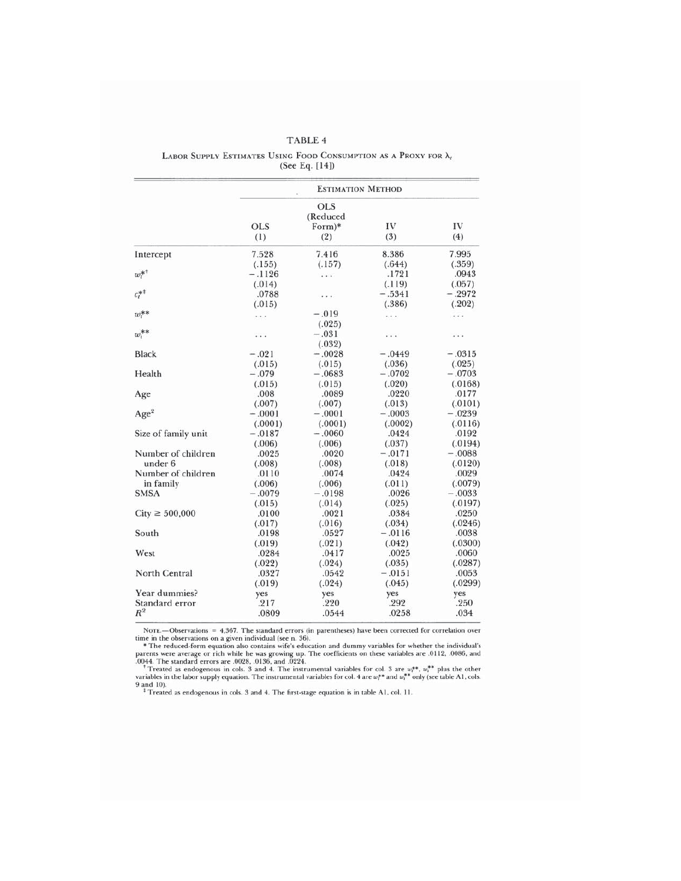|                     |            | <b>ESTIMATION METHOD</b>   |          |          |
|---------------------|------------|----------------------------|----------|----------|
|                     | <b>OLS</b> | OLS.<br>(Reduced<br>Form)* | IV       | IV       |
|                     | (1)        | (2)                        | (3)      | (4)      |
| Intercept           | 7.528      | 7.416                      | 8.386    | 7.995    |
|                     | (.155)     | (.157)                     | (.644)   | (.359)   |
| $w_t^{\ast\ast}$    | $-.1126$   | $\cdots$                   | .1721    | .0943    |
|                     | (.014)     |                            | (.119)   | (.057)   |
| $c_t^{*+}$          | .0788      |                            | $-.5341$ | $-.2972$ |
|                     | (.015)     |                            | (.386)   | (.202)   |
| $w_t^{**}$          | $\cdots$   | $-.019$                    | $\cdots$ | .        |
|                     |            | (.025)                     |          |          |
| $w_i^{\ast\ast}$    | .          | $-.031$                    | $\cdots$ | .        |
|                     |            | (.032)                     |          |          |
| <b>Black</b>        | $-.021$    | $-.0028$                   | $-.0449$ | $-.0315$ |
|                     | (.015)     | (.015)                     | (.036)   | (.025)   |
| Health              | $-.079$    | $-.0683$                   | $-.0702$ | $-.0703$ |
|                     | (.015)     | (.015)                     | (.020)   | (.0168)  |
| Age                 | .008       | .0089                      | .0220    | .0177    |
|                     | (.007)     | (.007)                     | (.013)   | (.0101)  |
| Age <sup>2</sup>    | $-.0001$   | $-.0001$                   | $-.0003$ | $-.0239$ |
|                     | (.0001)    | (.0001)                    | (.0002)  | (.0116)  |
| Size of family unit | $-.0187$   | $-.0060$                   | .0424    | .0192    |
|                     | (.006)     | (.006)                     | (.037)   | (.0194)  |
| Number of children  | .0025      | .0020                      | $-.0171$ | $-.0088$ |
| under 6             | (.008)     | (.008)                     | (.018)   | (.0120)  |
| Number of children  | .0110      | .0074                      | .0424    | .0029    |
| in family           | (.006)     | (.006)                     | (.011)   | (.0079)  |
| <b>SMSA</b>         | $-.0079$   | $-.0198$                   | .0026    | $-.0033$ |
|                     | (.015)     | (.014)                     | (.025)   | (.0197)  |
| $City \ge 500,000$  | .0100      | .0021                      | .0384    | .0250    |
|                     | (.017)     | (.016)                     | (.034)   | (.0246)  |
| South               | .0198      | .0527                      | $-.0116$ | .0038    |
|                     | (.019)     | (.021)                     | (.042)   | (.0300)  |
| West                | .0284      | .0417                      | .0025    | .0060    |
|                     | (.022)     | (.024)                     | (.035)   | (.0287)  |
| North Central       | .0327      | .0542                      | $-.0151$ | .0053    |
|                     | (.019)     | (.024)                     | (.045)   | (.0299)  |
| Year dummies?       | ves        | yes                        | yes      | yes      |
| Standard error      | .217       | .220                       | .292     | .250     |
| $R^2$               | .0809      | .0544                      | .0258    | .034     |

# TABLE 4 LABOR SUPPLY ESTIMATES USING FOOD CONSUMPTION AS A PROXY FOR  $\lambda_i$ (See Eq. [14])

NOTE.—Observations = 4,367. The standard errors (in parentheses) have been corrected for correlation over<br>time in the observations on a given individual (see n. 36).<br>\* The reduced-form equation also contains wife's educat 9 and 10).<br> $\frac{1}{4}$  Treated as endogenous in cols. 3 and 4. The first-stage equation is in table A1, col. 11.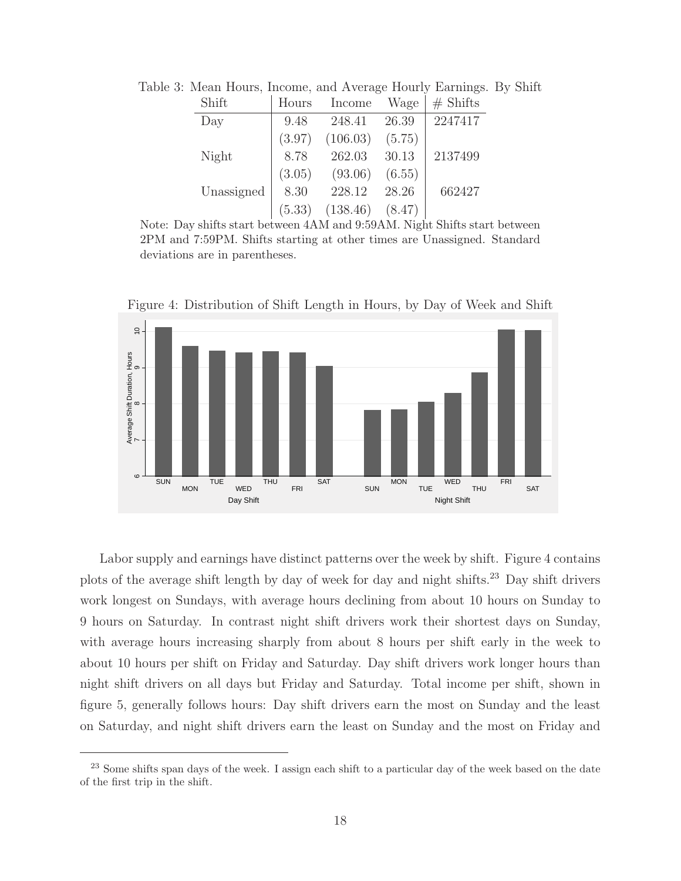| Shift      | Hours  | Income   | Wage   | $#$ Shifts |
|------------|--------|----------|--------|------------|
| Day        | 9.48   | 248.41   | 26.39  | 2247417    |
|            | (3.97) | (106.03) | (5.75) |            |
| Night      | 8.78   | 262.03   | 30.13  | 2137499    |
|            | (3.05) | (93.06)  | (6.55) |            |
| Unassigned | 8.30   | 228.12   | 28.26  | 662427     |
|            | (5.33) | (138.46) | (8.47) |            |

Table 3: Mean Hours, Income, and Average Hourly Earnings. By Shift

Note: Day shifts start between 4AM and 9:59AM. Night Shifts start between 2PM and 7:59PM. Shifts starting at other times are Unassigned. Standard deviations are in parentheses.



Figure 4: Distribution of Shift Length in Hours, by Day of Week and Shift

Labor supply and earnings have distinct patterns over the week by shift. Figure 4 contains plots of the average shift length by day of week for day and night shifts.<sup>23</sup> Day shift drivers work longest on Sundays, with average hours declining from about 10 hours on Sunday to 9 hours on Saturday. In contrast night shift drivers work their shortest days on Sunday, with average hours increasing sharply from about 8 hours per shift early in the week to about 10 hours per shift on Friday and Saturday. Day shift drivers work longer hours than night shift drivers on all days but Friday and Saturday. Total income per shift, shown in figure 5, generally follows hours: Day shift drivers earn the most on Sunday and the least on Saturday, and night shift drivers earn the least on Sunday and the most on Friday and

<sup>&</sup>lt;sup>23</sup> Some shifts span days of the week. I assign each shift to a particular day of the week based on the date of the first trip in the shift.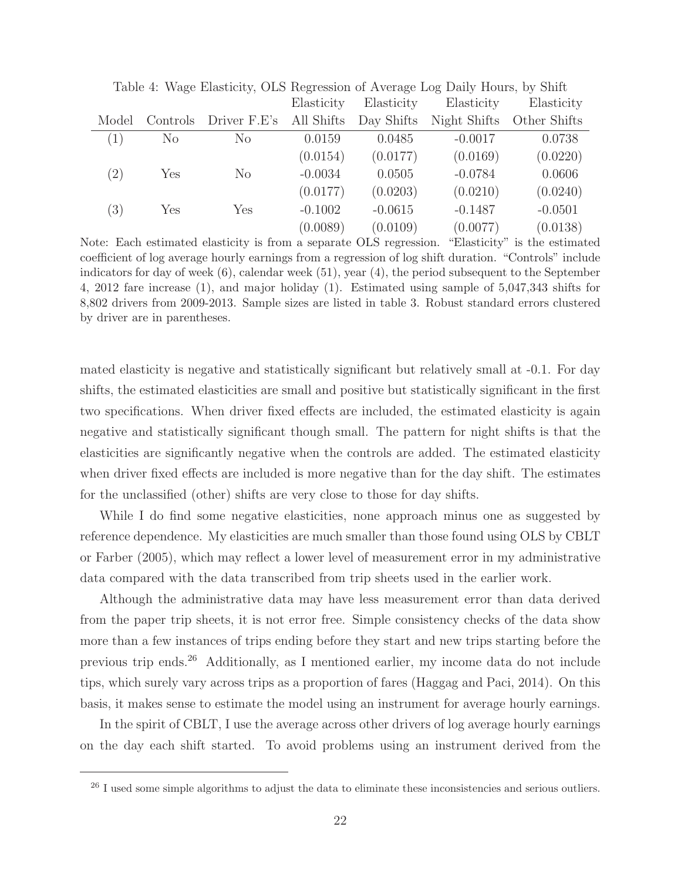|       |                | Table 1. <i>Wage Liasticity</i> , OLD Regression of Trycrage Log Dairy Hours, by Office |            |            |              |              |
|-------|----------------|-----------------------------------------------------------------------------------------|------------|------------|--------------|--------------|
|       |                |                                                                                         | Elasticity | Elasticity | Elasticity   | Elasticity   |
| Model | Controls       | Driver F.E's All Shifts                                                                 |            | Day Shifts | Night Shifts | Other Shifts |
| (1)   | N <sub>o</sub> | N <sub>o</sub>                                                                          | 0.0159     | 0.0485     | $-0.0017$    | 0.0738       |
|       |                |                                                                                         | (0.0154)   | (0.0177)   | (0.0169)     | (0.0220)     |
| (2)   | Yes            | $\rm No$                                                                                | $-0.0034$  | 0.0505     | $-0.0784$    | 0.0606       |
|       |                |                                                                                         | (0.0177)   | (0.0203)   | (0.0210)     | (0.0240)     |
| (3)   | Yes            | Yes                                                                                     | $-0.1002$  | $-0.0615$  | $-0.1487$    | $-0.0501$    |
|       |                |                                                                                         | (0.0089)   | (0.0109)   | (0.0077)     | (0.0138)     |

Table 4: Wage Elasticity, OLS Regression of Average Log Daily Hours, by Shift

Note: Each estimated elasticity is from a separate OLS regression. "Elasticity" is the estimated coefficient of log average hourly earnings from a regression of log shift duration. "Controls" include indicators for day of week (6), calendar week (51), year (4), the period subsequent to the September 4, 2012 fare increase (1), and major holiday (1). Estimated using sample of 5,047,343 shifts for 8,802 drivers from 2009-2013. Sample sizes are listed in table 3. Robust standard errors clustered by driver are in parentheses.

mated elasticity is negative and statistically significant but relatively small at -0.1. For day shifts, the estimated elasticities are small and positive but statistically significant in the first two specifications. When driver fixed effects are included, the estimated elasticity is again negative and statistically significant though small. The pattern for night shifts is that the elasticities are significantly negative when the controls are added. The estimated elasticity when driver fixed effects are included is more negative than for the day shift. The estimates for the unclassified (other) shifts are very close to those for day shifts.

While I do find some negative elasticities, none approach minus one as suggested by reference dependence. My elasticities are much smaller than those found using OLS by CBLT or Farber (2005), which may reflect a lower level of measurement error in my administrative data compared with the data transcribed from trip sheets used in the earlier work.

Although the administrative data may have less measurement error than data derived from the paper trip sheets, it is not error free. Simple consistency checks of the data show more than a few instances of trips ending before they start and new trips starting before the previous trip ends.<sup>26</sup> Additionally, as I mentioned earlier, my income data do not include tips, which surely vary across trips as a proportion of fares (Haggag and Paci, 2014). On this basis, it makes sense to estimate the model using an instrument for average hourly earnings.

In the spirit of CBLT, I use the average across other drivers of log average hourly earnings on the day each shift started. To avoid problems using an instrument derived from the

<sup>&</sup>lt;sup>26</sup> I used some simple algorithms to adjust the data to eliminate these inconsistencies and serious outliers.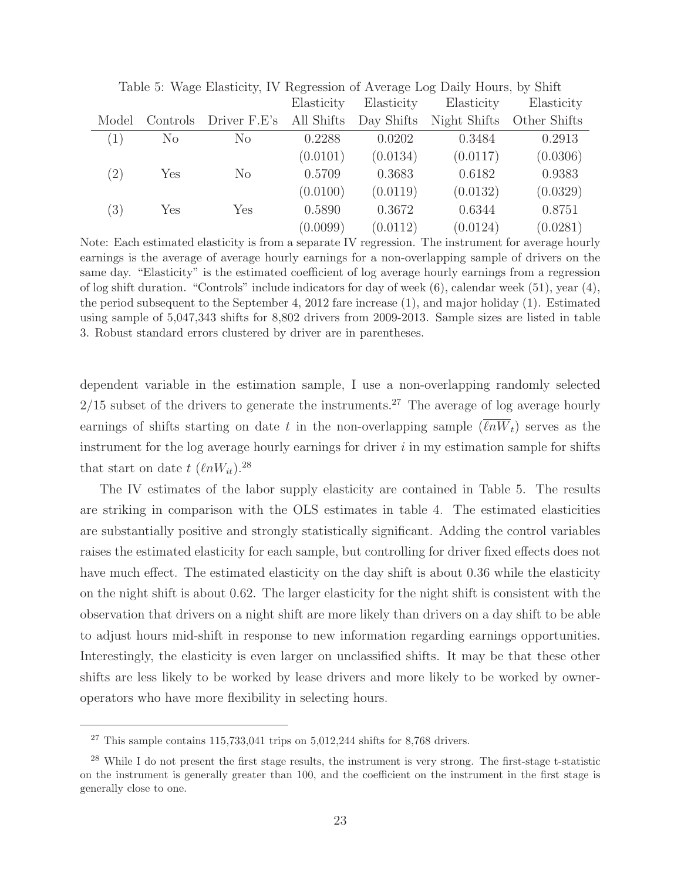|       |                | Table 5. Wage Eliasticity, TV Reglession of Average Log Daily Hours, by Shift |            |            |              |              |
|-------|----------------|-------------------------------------------------------------------------------|------------|------------|--------------|--------------|
|       |                |                                                                               | Elasticity | Elasticity | Elasticity   | Elasticity   |
| Model | Controls       | Driver F.E's All Shifts                                                       |            | Day Shifts | Night Shifts | Other Shifts |
| (1)   | N <sub>o</sub> | N <sub>o</sub>                                                                | 0.2288     | 0.0202     | 0.3484       | 0.2913       |
|       |                |                                                                               | (0.0101)   | (0.0134)   | (0.0117)     | (0.0306)     |
| (2)   | Yes            | $\rm No$                                                                      | 0.5709     | 0.3683     | 0.6182       | 0.9383       |
|       |                |                                                                               | (0.0100)   | (0.0119)   | (0.0132)     | (0.0329)     |
| (3)   | Yes            | Yes                                                                           | 0.5890     | 0.3672     | 0.6344       | 0.8751       |
|       |                |                                                                               | (0.0099)   | (0.0112)   | (0.0124)     | (0.0281)     |

Table 5: Wage Elasticity, IV Regression of Average Log Daily Hours, by Shift

Note: Each estimated elasticity is from a separate IV regression. The instrument for average hourly earnings is the average of average hourly earnings for a non-overlapping sample of drivers on the same day. "Elasticity" is the estimated coefficient of log average hourly earnings from a regression of log shift duration. "Controls" include indicators for day of week (6), calendar week (51), year (4), the period subsequent to the September 4, 2012 fare increase (1), and major holiday (1). Estimated using sample of 5,047,343 shifts for 8,802 drivers from 2009-2013. Sample sizes are listed in table 3. Robust standard errors clustered by driver are in parentheses.

dependent variable in the estimation sample, I use a non-overlapping randomly selected  $2/15$  subset of the drivers to generate the instruments.<sup>27</sup> The average of log average hourly earnings of shifts starting on date t in the non-overlapping sample  $(\ell nW_t)$  serves as the instrument for the log average hourly earnings for driver  $i$  in my estimation sample for shifts that start on date  $t \ (\ell n W_{it})$ .<sup>28</sup>

The IV estimates of the labor supply elasticity are contained in Table 5. The results are striking in comparison with the OLS estimates in table 4. The estimated elasticities are substantially positive and strongly statistically significant. Adding the control variables raises the estimated elasticity for each sample, but controlling for driver fixed effects does not have much effect. The estimated elasticity on the day shift is about 0.36 while the elasticity on the night shift is about 0.62. The larger elasticity for the night shift is consistent with the observation that drivers on a night shift are more likely than drivers on a day shift to be able to adjust hours mid-shift in response to new information regarding earnings opportunities. Interestingly, the elasticity is even larger on unclassified shifts. It may be that these other shifts are less likely to be worked by lease drivers and more likely to be worked by owneroperators who have more flexibility in selecting hours.

 $27$  This sample contains 115,733,041 trips on 5,012,244 shifts for 8,768 drivers.

<sup>28</sup> While I do not present the first stage results, the instrument is very strong. The first-stage t-statistic on the instrument is generally greater than 100, and the coefficient on the instrument in the first stage is generally close to one.